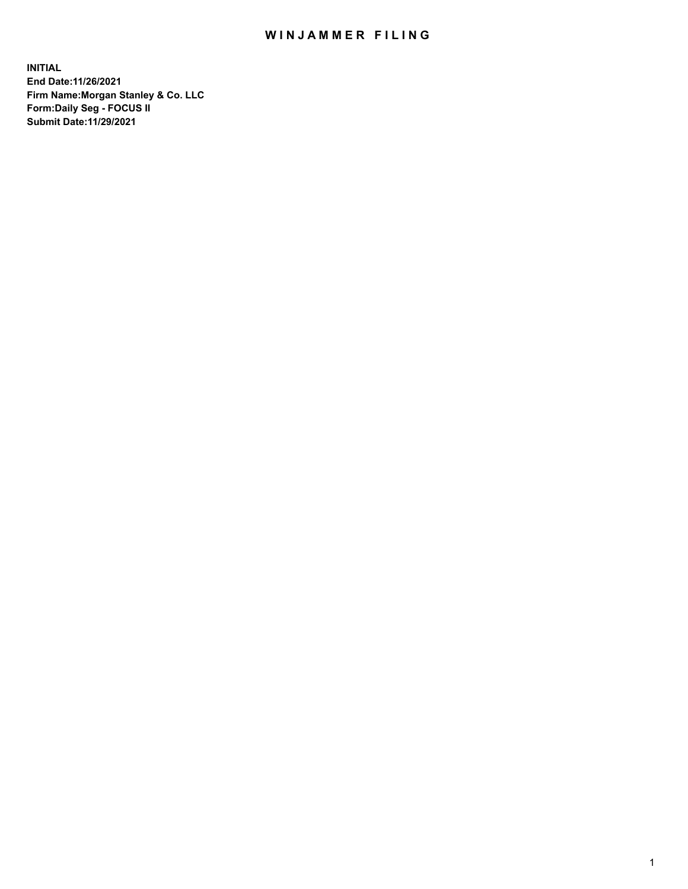## WIN JAMMER FILING

**INITIAL End Date:11/26/2021 Firm Name:Morgan Stanley & Co. LLC Form:Daily Seg - FOCUS II Submit Date:11/29/2021**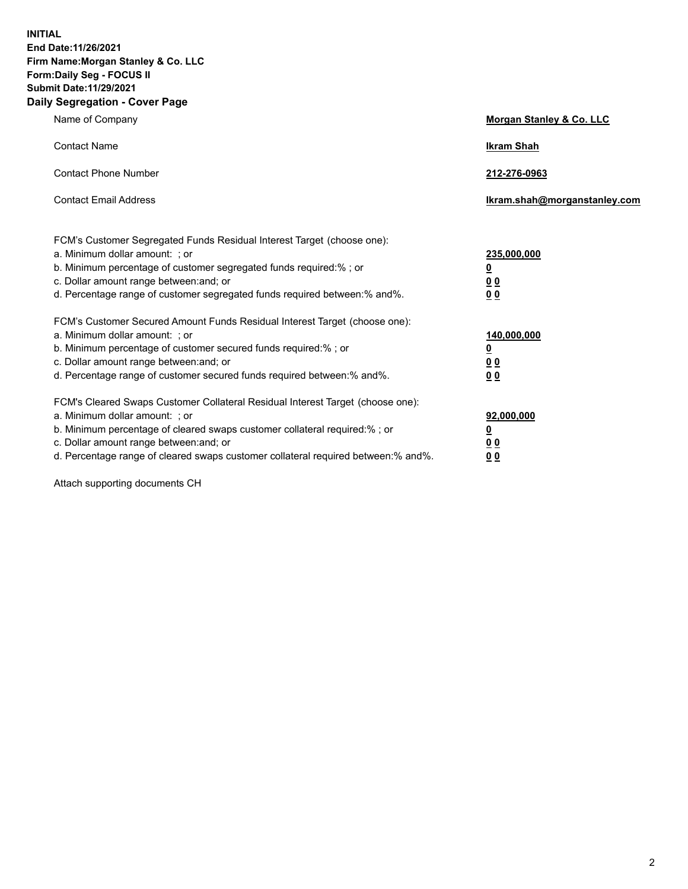**INITIAL End Date:11/26/2021 Firm Name:Morgan Stanley & Co. LLC Form:Daily Seg - FOCUS II Submit Date:11/29/2021 Daily Segregation - Cover Page**

| Name of Company                                                                                                                                                                                                                                                                                                               | Morgan Stanley & Co. LLC                               |
|-------------------------------------------------------------------------------------------------------------------------------------------------------------------------------------------------------------------------------------------------------------------------------------------------------------------------------|--------------------------------------------------------|
| <b>Contact Name</b>                                                                                                                                                                                                                                                                                                           | <b>Ikram Shah</b>                                      |
| <b>Contact Phone Number</b>                                                                                                                                                                                                                                                                                                   | 212-276-0963                                           |
| <b>Contact Email Address</b>                                                                                                                                                                                                                                                                                                  | Ikram.shah@morganstanley.com                           |
| FCM's Customer Segregated Funds Residual Interest Target (choose one):<br>a. Minimum dollar amount: ; or<br>b. Minimum percentage of customer segregated funds required:% ; or<br>c. Dollar amount range between: and; or<br>d. Percentage range of customer segregated funds required between:% and%.                        | 235,000,000<br><u>0</u><br><u>00</u><br>0 <sup>0</sup> |
| FCM's Customer Secured Amount Funds Residual Interest Target (choose one):<br>a. Minimum dollar amount: ; or<br>b. Minimum percentage of customer secured funds required:%; or<br>c. Dollar amount range between: and; or<br>d. Percentage range of customer secured funds required between:% and%.                           | 140,000,000<br><u>0</u><br><u>00</u><br>0 <sub>0</sub> |
| FCM's Cleared Swaps Customer Collateral Residual Interest Target (choose one):<br>a. Minimum dollar amount: ; or<br>b. Minimum percentage of cleared swaps customer collateral required:%; or<br>c. Dollar amount range between: and; or<br>d. Percentage range of cleared swaps customer collateral required between:% and%. | 92,000,000<br><u>0</u><br>0 Q<br>00                    |

Attach supporting documents CH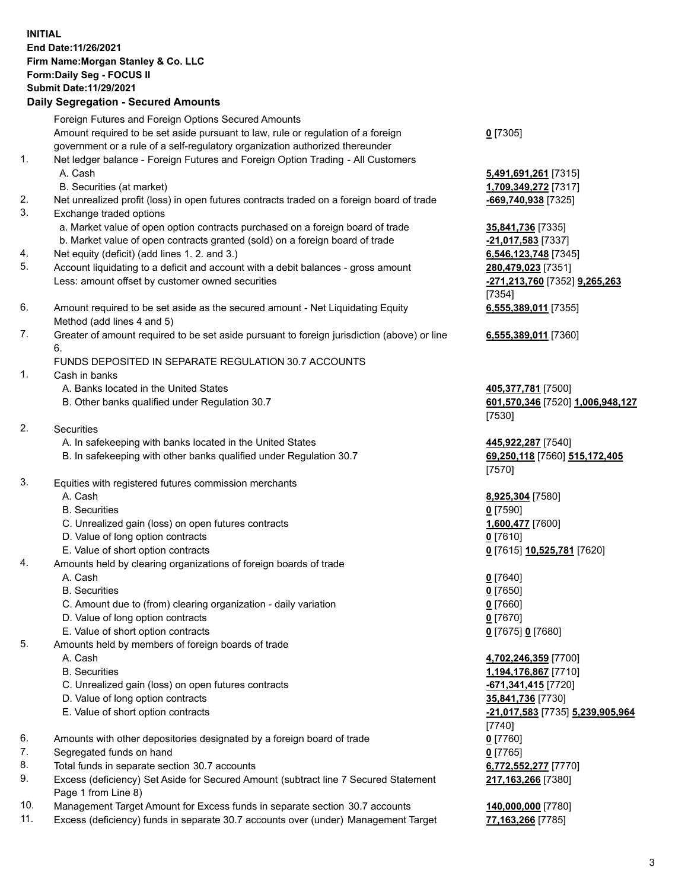## **INITIAL End Date:11/26/2021 Firm Name:Morgan Stanley & Co. LLC Form:Daily Seg - FOCUS II Submit Date:11/29/2021**

## **Daily Segregation - Secured Amounts**

Foreign Futures and Foreign Options Secured Amounts Amount required to be set aside pursuant to law, rule or regulation of a foreign government or a rule of a self-regulatory organization authorized thereunder 1. Net ledger balance - Foreign Futures and Foreign Option Trading - All Customers A. Cash **5,491,691,261** [7315] B. Securities (at market) **1,709,349,272** [7317] 2. Net unrealized profit (loss) in open futures contracts traded on a foreign board of trade **-669,740,938** [7325]

- 3. Exchange traded options
	- a. Market value of open option contracts purchased on a foreign board of trade **35,841,736** [7335]
	- b. Market value of open contracts granted (sold) on a foreign board of trade **-21,017,583** [7337]
- 4. Net equity (deficit) (add lines 1. 2. and 3.) **6,546,123,748** [7345]
- 5. Account liquidating to a deficit and account with a debit balances gross amount **280,479,023** [7351] Less: amount offset by customer owned securities **-271,213,760** [7352] **9,265,263**
- 6. Amount required to be set aside as the secured amount Net Liquidating Equity Method (add lines 4 and 5)
- 7. Greater of amount required to be set aside pursuant to foreign jurisdiction (above) or line 6.

## FUNDS DEPOSITED IN SEPARATE REGULATION 30.7 ACCOUNTS

- 1. Cash in banks
	- A. Banks located in the United States **405,377,781** [7500]
	- B. Other banks qualified under Regulation 30.7 **601,570,346** [7520] **1,006,948,127**
- 2. Securities
	- A. In safekeeping with banks located in the United States **445,922,287** [7540]
	- B. In safekeeping with other banks qualified under Regulation 30.7 **69,250,118** [7560] **515,172,405**
- 3. Equities with registered futures commission merchants
	-
	- B. Securities **0** [7590]
	- C. Unrealized gain (loss) on open futures contracts **1,600,477** [7600]
	- D. Value of long option contracts **0** [7610]
	- E. Value of short option contracts **0** [7615] **10,525,781** [7620]
- 4. Amounts held by clearing organizations of foreign boards of trade
	- A. Cash **0** [7640]
	- B. Securities **0** [7650]
	- C. Amount due to (from) clearing organization daily variation **0** [7660]
	- D. Value of long option contracts **0** [7670]
	- E. Value of short option contracts **0** [7675] **0** [7680]
- 5. Amounts held by members of foreign boards of trade
	-
	-
	- C. Unrealized gain (loss) on open futures contracts **-671,341,415** [7720]
	- D. Value of long option contracts **35,841,736** [7730]
	-
- 6. Amounts with other depositories designated by a foreign board of trade **0** [7760]
- 7. Segregated funds on hand **0** [7765]
- 8. Total funds in separate section 30.7 accounts **6,772,552,277** [7770]
- 9. Excess (deficiency) Set Aside for Secured Amount (subtract line 7 Secured Statement Page 1 from Line 8)
- 10. Management Target Amount for Excess funds in separate section 30.7 accounts **140,000,000** [7780]
- 11. Excess (deficiency) funds in separate 30.7 accounts over (under) Management Target **77,163,266** [7785]

**0** [7305]

[7354] **6,555,389,011** [7355]

**6,555,389,011** [7360]

[7530]

[7570]

A. Cash **8,925,304** [7580]

 A. Cash **4,702,246,359** [7700] B. Securities **1,194,176,867** [7710] E. Value of short option contracts **-21,017,583** [7735] **5,239,905,964** [7740] **217,163,266** [7380]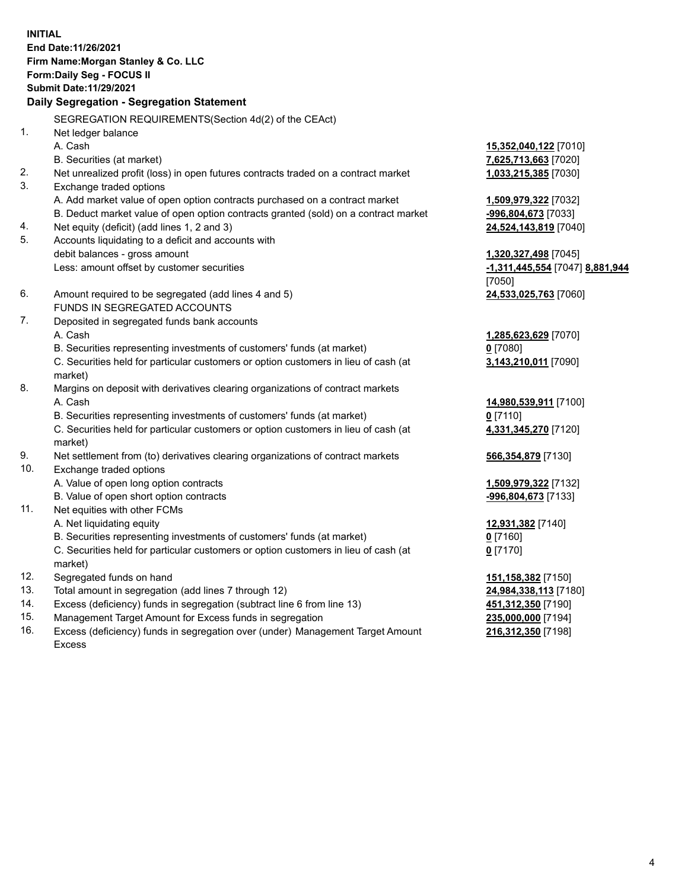**INITIAL End Date:11/26/2021 Firm Name:Morgan Stanley & Co. LLC Form:Daily Seg - FOCUS II Submit Date:11/29/2021 Daily Segregation - Segregation Statement** SEGREGATION REQUIREMENTS(Section 4d(2) of the CEAct) 1. Net ledger balance A. Cash **15,352,040,122** [7010] B. Securities (at market) **7,625,713,663** [7020] 2. Net unrealized profit (loss) in open futures contracts traded on a contract market **1,033,215,385** [7030] 3. Exchange traded options A. Add market value of open option contracts purchased on a contract market **1,509,979,322** [7032] B. Deduct market value of open option contracts granted (sold) on a contract market **-996,804,673** [7033] 4. Net equity (deficit) (add lines 1, 2 and 3) **24,524,143,819** [7040] 5. Accounts liquidating to a deficit and accounts with debit balances - gross amount **1,320,327,498** [7045] Less: amount offset by customer securities **-1,311,445,554** [7047] **8,881,944** [7050] 6. Amount required to be segregated (add lines 4 and 5) **24,533,025,763** [7060] FUNDS IN SEGREGATED ACCOUNTS 7. Deposited in segregated funds bank accounts A. Cash **1,285,623,629** [7070] B. Securities representing investments of customers' funds (at market) **0** [7080] C. Securities held for particular customers or option customers in lieu of cash (at market) **3,143,210,011** [7090] 8. Margins on deposit with derivatives clearing organizations of contract markets A. Cash **14,980,539,911** [7100] B. Securities representing investments of customers' funds (at market) **0** [7110] C. Securities held for particular customers or option customers in lieu of cash (at market) **4,331,345,270** [7120] 9. Net settlement from (to) derivatives clearing organizations of contract markets **566,354,879** [7130] 10. Exchange traded options A. Value of open long option contracts **1,509,979,322** [7132] B. Value of open short option contracts **and the set of our original contracts -996,804,673** [7133] 11. Net equities with other FCMs A. Net liquidating equity **12,931,382** [7140] B. Securities representing investments of customers' funds (at market) **0** [7160] C. Securities held for particular customers or option customers in lieu of cash (at market) **0** [7170] 12. Segregated funds on hand **151,158,382** [7150] 13. Total amount in segregation (add lines 7 through 12) **24,984,338,113** [7180] 14. Excess (deficiency) funds in segregation (subtract line 6 from line 13) **451,312,350** [7190] 15. Management Target Amount for Excess funds in segregation **235,000,000** [7194]

16. Excess (deficiency) funds in segregation over (under) Management Target Amount Excess

**216,312,350** [7198]